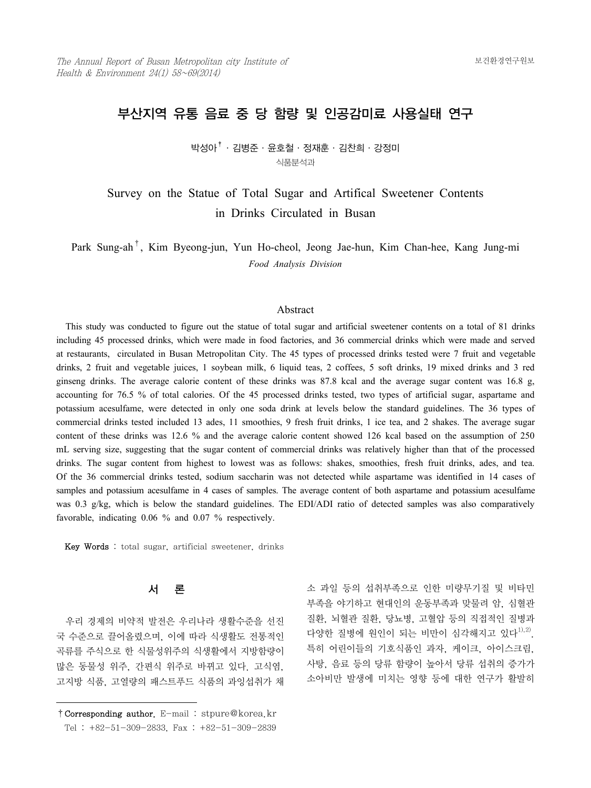# 부산지역 유통 음료 중 당 함량 및 인공감미료 사용실태 연구

박성아†·김병준·윤호철·정재훈·김찬희·강정미 식품분석과

Survey on the Statue of Total Sugar and Artifical Sweetener Contents in Drinks Circulated in Busan

Park Sung-ah†, Kim Byeong-jun, Yun Ho-cheol, Jeong Jae-hun, Kim Chan-hee, Kang Jung-mi *Food Analysis Division*

#### Abstract

 This study was conducted to figure out the statue of total sugar and artificial sweetener contents on a total of 81 drinks including 45 processed drinks, which were made in food factories, and 36 commercial drinks which were made and served at restaurants, circulated in Busan Metropolitan City. The 45 types of processed drinks tested were 7 fruit and vegetable drinks, 2 fruit and vegetable juices, 1 soybean milk, 6 liquid teas, 2 coffees, 5 soft drinks, 19 mixed drinks and 3 red ginseng drinks. The average calorie content of these drinks was 87.8 kcal and the average sugar content was 16.8 g, accounting for 76.5 % of total calories. Of the 45 processed drinks tested, two types of artificial sugar, aspartame and potassium acesulfame, were detected in only one soda drink at levels below the standard guidelines. The 36 types of commercial drinks tested included 13 ades, 11 smoothies, 9 fresh fruit drinks, 1 ice tea, and 2 shakes. The average sugar content of these drinks was 12.6 % and the average calorie content showed 126 kcal based on the assumption of 250 mL serving size, suggesting that the sugar content of commercial drinks was relatively higher than that of the processed drinks. The sugar content from highest to lowest was as follows: shakes, smoothies, fresh fruit drinks, ades, and tea. Of the 36 commercial drinks tested, sodium saccharin was not detected while aspartame was identified in 14 cases of samples and potassium acesulfame in 4 cases of samples. The average content of both aspartame and potassium acesulfame was 0.3 g/kg, which is below the standard guidelines. The EDI/ADI ratio of detected samples was also comparatively favorable, indicating 0.06 % and 0.07 % respectively.

Key Words : total sugar, artificial sweetener, drinks

# 서 론

 우리 경제의 비약적 발전은 우리나라 생활수준을 선진 국 수준으로 끌어올렸으며, 이에 따라 식생활도 전통적인 곡류를 주식으로 한 식물성위주의 식생활에서 지방함량이 많은 동물성 위주, 간편식 위주로 바뀌고 있다. 고식염, 고지방 식품, 고열량의 패스트푸드 식품의 과잉섭취가 채

소 과일 등의 섭취부족으로 인한 미량무기질 및 비타민 부족을 야기하고 현대인의 운동부족과 맞물려 암, 심혈관 질환, 뇌혈관 질환, 당뇨병, 고혈압 등의 직접적인 질병과 다양한 질병에 원인이 되는 비만이 심각해지고 있다<sup>1),2)</sup>. 특히 어린이들의 기호식품인 과자, 케이크, 아이스크림, 사탕, 음료 등의 당류 함량이 높아서 당류 섭취의 증가가 소아비만 발생에 미치는 영향 등에 대한 연구가 활발히

<sup>†</sup>Corresponding author. E-mail : stpure@korea.kr Tel : +82-51-309-2833, Fax : +82-51-309-2839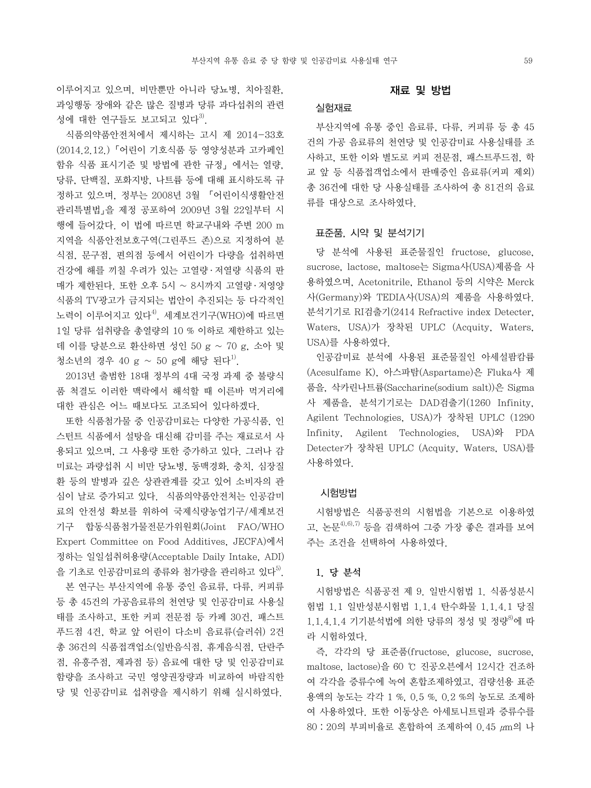이루어지고 있으며, 비만뿐만 아니라 당뇨병, 치아질환, 과잉행동 장애와 같은 많은 질병과 당류 과다섭취의 관련 성에 대한 연구들도 보고되고 있다 $^{3}$ .

 식품의약품안전처에서 제시하는 고시 제 2014-33호 (2014.2.12.)「어린이 기호식품 등 영양성분과 고카페인 함유 식품 표시기준 및 방법에 관한 규정」에서는 열량, 당류, 단백질, 포화지방, 나트륨 등에 대해 표시하도록 규 정하고 있으며, 정부는 2008년 3월 「어린이식생활안전 관리특별법」을 제정 공포하여 2009년 3월 22일부터 시 행에 들어갔다. 이 법에 따르면 학교구내와 주변 200 m 지역을 식품안전보호구역(그린푸드 존)으로 지정하여 분 식점, 문구점, 편의점 등에서 어린이가 다량을 섭취하면 건강에 해를 끼칠 우려가 있는 고열량 ․ 저열량 식품의 판 매가 제한된다. 또한 오후 5시 ~ 8시까지 고열량 ․ 저영양 식품의 TV광고가 금지되는 법안이 추진되는 등 다각적인 노력이 이루어지고 있다 $^{4)}$ . 세계보건기구(WHO)에 따르면 1일 당류 섭취량을 총열량의 10 % 이하로 제한하고 있는 데 이를 당분으로 환산하면 성인 50 g ~ 70 g, 소아 및 청소년의 경우 40 g ~ 50 g에 해당 된다<sup>1)</sup>.

 2013년 출범한 18대 정부의 4대 국정 과제 중 불량식 품 척결도 이러한 맥락에서 해석할 때 이른바 먹거리에 대한 관심은 어느 때보다도 고조되어 있다하겠다.

 또한 식품첨가물 중 인공감미료는 다양한 가공식품, 인 스턴트 식품에서 설탕을 대신해 감미를 주는 재료로서 사 용되고 있으며, 그 사용량 또한 증가하고 있다. 그러나 감 미료는 과량섭취 시 비만 당뇨병, 동맥경화, 충치, 심장질 환 등의 발병과 깊은 상관관계를 갖고 있어 소비자의 관 심이 날로 증가되고 있다. 식품의약품안전처는 인공감미 료의 안전성 확보를 위하여 국제식량농업기구/세계보건 기구 합동식품첨가물전문가위원회(Joint FAO/WHO Expert Committee on Food Additives, JECFA)에서 정하는 일일섭취허용량(Acceptable Daily Intake, ADI) 을 기초로 인공감미료의 종류와 첨가량을 관리하고 있다<sup>5)</sup>.

 본 연구는 부산지역에 유통 중인 음료류, 다류, 커피류 등 총 45건의 가공음료류의 천연당 및 인공감미료 사용실 태를 조사하고, 또한 커피 전문점 등 카페 30건, 패스트 푸드점 4건, 학교 앞 어린이 다소비 음료류(슬러쉬) 2건 총 36건의 식품접객업소(일반음식점, 휴게음식점, 단란주 점, 유흥주점, 제과점 등) 음료에 대한 당 및 인공감미료 함량을 조사하고 국민 영양권장량과 비교하여 바람직한 당 및 인공감미료 섭취량을 제시하기 위해 실시하였다.

#### 재료 및 방법

### 실험재료

 부산지역에 유통 중인 음료류, 다류, 커피류 등 총 45 건의 가공 음료류의 천연당 및 인공감미료 사용실태를 조 사하고, 또한 이와 별도로 커피 전문점, 패스트푸드점, 학 교 앞 등 식품접객업소에서 판매중인 음료류(커피 제외) 총 36건에 대한 당 사용실태를 조사하여 총 81건의 음료 류를 대상으로 조사하였다.

#### 표준품, 시약 및 분석기기

 당 분석에 사용된 표준물질인 fructose, glucose, sucrose, lactose, maltose는 Sigma사(USA)제품을 사 용하였으며, Acetonitrile, Ethanol 등의 시약은 Merck 사(Germany)와 TEDIA사(USA)의 제품을 사용하였다. 분석기기로 RI검출기(2414 Refractive index Detecter, Waters, USA)가 장착된 UPLC (Acquity, Waters, USA)를 사용하였다.

 인공감미료 분석에 사용된 표준물질인 아세설팜캄륨 (Acesulfame K), 아스파탐(Aspartame)은 Fluka사 제 품을, 삭카린나트륨(Saccharine(sodium salt))은 Sigma 사 제품을, 분석기기로는 DAD검출기(1260 Infinity, Agilent Technologies, USA)가 장착된 UPLC (1290 Infinity, Agilent Technologies, USA)와 PDA Detecter가 장착된 UPLC (Acquity, Waters, USA)를 사용하였다.

#### 시험방법

 시험방법은 식품공전의 시험법을 기본으로 이용하였 고, 논문 $^{4),6),7\rangle}$  등을 검색하여 그중 가장 좋은 결과를 보여 주는 조건을 선택하여 사용하였다.

#### 1. 당 분석

 시험방법은 식품공전 제 9. 일반시험법 1. 식품성분시 험법 1.1 일반성분시험법 1.1.4 탄수화물 1.1.4.1 당질 1.1.4.1.4 기기분석법에 의한 당류의 정성 및 정량<sup>8)</sup>에 따 라 시험하였다.

 즉, 각각의 당 표준품(fructose, glucose, sucrose, maltose, lactose)을 60 ℃ 진공오븐에서 12시간 건조하 여 각각을 증류수에 녹여 혼합조제하였고, 검량선용 표준 용액의 농도는 각각 1 %, 0.5 %, 0.2 %의 농도로 조제하 여 사용하였다. 또한 이동상은 아세토니트릴과 증류수를 80 : 20의 부피비율로 혼합하여 조제하여 0.45 μm의 나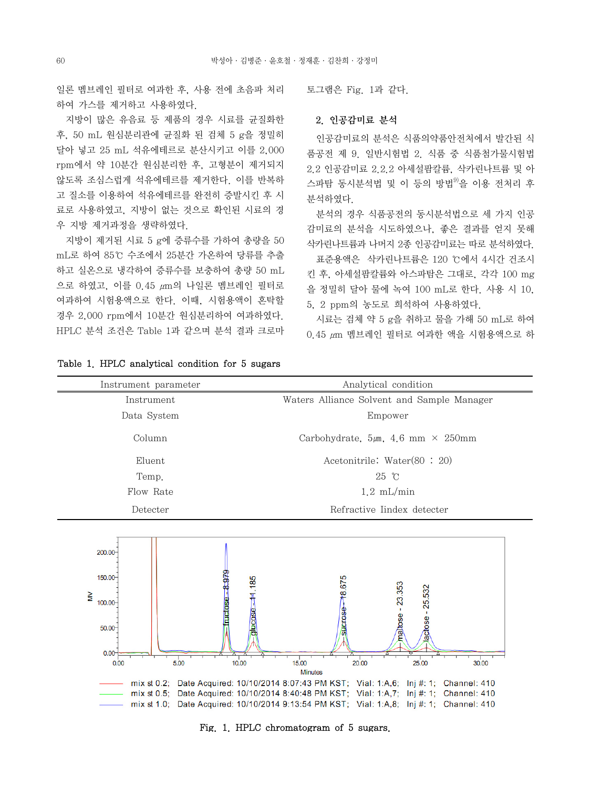일론 멤브레인 필터로 여과한 후, 사용 전에 초음파 처리 하여 가스를 제거하고 사용하였다.

 지방이 많은 유음료 등 제품의 경우 시료를 균질화한 후, 50 mL 원심분리관에 균질화 된 검체 5 g을 정밀히 달아 넣고 25 mL 석유에테르로 분산시키고 이를 2,000 rpm에서 약 10분간 원심분리한 후, 고형분이 제거되지 않도록 조심스럽게 석유에테르를 제거한다. 이를 반복하 고 질소를 이용하여 석유에테르를 완전히 증발시킨 후 시 료로 사용하였고, 지방이 없는 것으로 확인된 시료의 경 우 지방 제거과정을 생략하였다.

 지방이 제거된 시료 5 g에 증류수를 가하여 총량을 50 mL로 하여 85℃ 수조에서 25분간 가온하여 당류를 추출 하고 실온으로 냉각하여 증류수를 보충하여 총량 50 mL 으로 하였고, 이를 0.45 μm의 나일론 멤브레인 필터로 여과하여 시험용액으로 한다. 이때, 시험용액이 혼탁할 경우 2,000 rpm에서 10분간 원심분리하여 여과하였다. HPLC 분석 조건은 Table 1과 같으며 분석 결과 크로마

Table 1. HPLC analytical condition for 5 sugars

토그램은 Fig. 1과 같다.

#### 2. 인공감미료 분석

 인공감미료의 분석은 식품의약품안전처에서 발간된 식 품공전 제 9. 일반시험법 2. 식품 중 식품첨가물시험법 2.2 인공감미료 2.2.2 아세설팜칼륨, 삭카린나트륨 및 아 스파탐 동시분석법 및 이 등의 방법<sup>9)</sup>을 이용 전처리 후 분석하였다.

 분석의 경우 식품공전의 동시분석법으로 세 가지 인공 감미료의 분석을 시도하였으나, 좋은 결과를 얻지 못해 삭카린나트륨과 나머지 2종 인공감미료는 따로 분석하였다. 표준용액은 삭카린나트륨은 120 ℃에서 4시간 건조시 킨 후, 아세설팜칼륨와 아스파탐은 그대로, 각각 100 mg 을 정밀히 달아 물에 녹여 100 mL로 한다. 사용 시 10, 5, 2 ppm의 농도로 희석하여 사용하였다.

 시료는 검체 약 5 g을 취하고 물을 가해 50 mL로 하여  $0.45 \mu m$  멤브레인 필터로 여과한 액을 시험용액으로 하

| Instrument parameter | Analytical condition                           |
|----------------------|------------------------------------------------|
| Instrument           | Waters Alliance Solvent and Sample Manager     |
| Data System          | Empower                                        |
| Column               | Carbohydrate, $5\mu m$ , 4.6 mm $\times$ 250mm |
| Eluent               | Acetonitrile: Water $(80:20)$                  |
| Temp.                | $25 \text{ }^{\circ}\text{C}$                  |
| Flow Rate            | $1.2 \text{ mL/min}$                           |
| Detecter             | Refractive Iindex detecter                     |



Fig. 1. HPLC chromatogram of 5 sugars.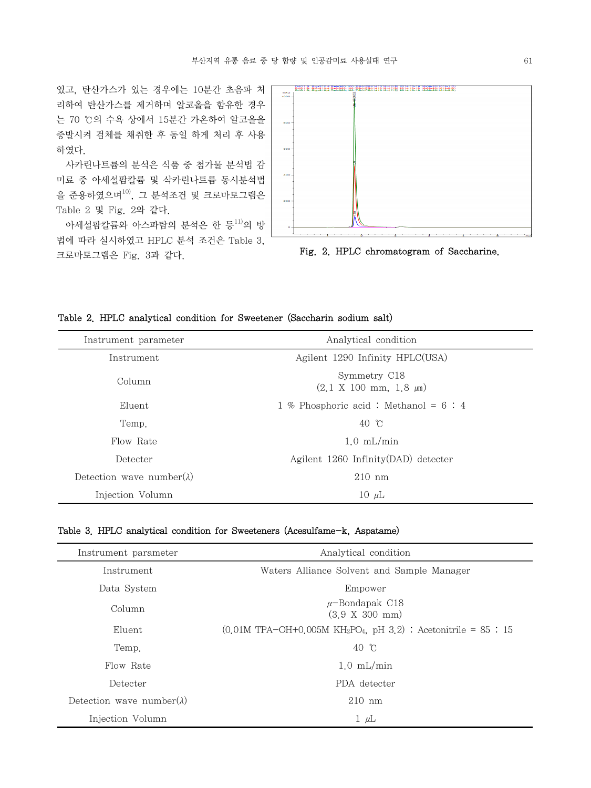였고, 탄산가스가 있는 경우에는 10분간 초음파 처 리하여 탄산가스를 제거하며 알코올을 함유한 경우 는 70 ℃의 수욕 상에서 15분간 가온하여 알코올을 증발시켜 검체를 채취한 후 동일 하게 처리 후 사용 하였다.

 사카린나트륨의 분석은 식품 중 첨가물 분석법 감 미료 중 아세설팜칼륨 및 삭카린나트륨 동시분석법 을 준용하였으며<sup>10)</sup>, 그 분석조건 및 크로마토그램은 Table 2 및 Fig. 2와 같다.

아세설팜칼륨와 아스파탐의 분석은 한 등 $^{11)}$ 의 방 법에 따라 실시하였고 HPLC 분석 조건은 Table 3, 크로마토그램은 Fig. 3과 같다.



Fig. 2. HPLC chromatogram of Saccharine.

|  |  |  |  |  | Table 2. HPLC analytical condition for Sweetener (Saccharin sodium salt) |  |  |  |  |
|--|--|--|--|--|--------------------------------------------------------------------------|--|--|--|--|
|--|--|--|--|--|--------------------------------------------------------------------------|--|--|--|--|

| Instrument parameter               | Analytical condition                                           |
|------------------------------------|----------------------------------------------------------------|
| Instrument                         | Agilent 1290 Infinity HPLC(USA)                                |
| Column                             | Symmetry C18<br>$(2.1 \times 100 \text{ mm}, 1.8 \mu\text{m})$ |
| Eluent                             | 1 % Phosphoric acid : Methanol = $6:4$                         |
| Temp.                              | 40C                                                            |
| Flow Rate                          | $1.0$ mL/min                                                   |
| Detecter                           | Agilent 1260 Infinity (DAD) detecter                           |
| Detection wave number( $\lambda$ ) | $210 \text{ nm}$                                               |
| Injection Volumn                   | $10 \mu L$                                                     |

|  | Table 3. HPLC analytical condition for Sweeteners (Acesulfame-k, Aspatame) |  |  |  |  |
|--|----------------------------------------------------------------------------|--|--|--|--|
|--|----------------------------------------------------------------------------|--|--|--|--|

| Instrument parameter               | Analytical condition                                                                      |
|------------------------------------|-------------------------------------------------------------------------------------------|
| Instrument                         | Waters Alliance Solvent and Sample Manager                                                |
| Data System                        | Empower                                                                                   |
| Column                             | $\mu$ -Bondapak C18<br>$(3.9 \times 300 \text{ mm})$                                      |
| Eluent                             | $(0.01M$ TPA-OH+0.005M KH <sub>2</sub> PO <sub>4</sub> , pH 3.2) : Acetonitrile = 85 : 15 |
| Temp.                              | $40 \text{ } \degree$                                                                     |
| Flow Rate                          | $1.0$ mL/min                                                                              |
| Detecter                           | PDA detecter                                                                              |
| Detection wave number( $\lambda$ ) | $210 \text{ nm}$                                                                          |
| Injection Volumn                   | $1 \mu L$                                                                                 |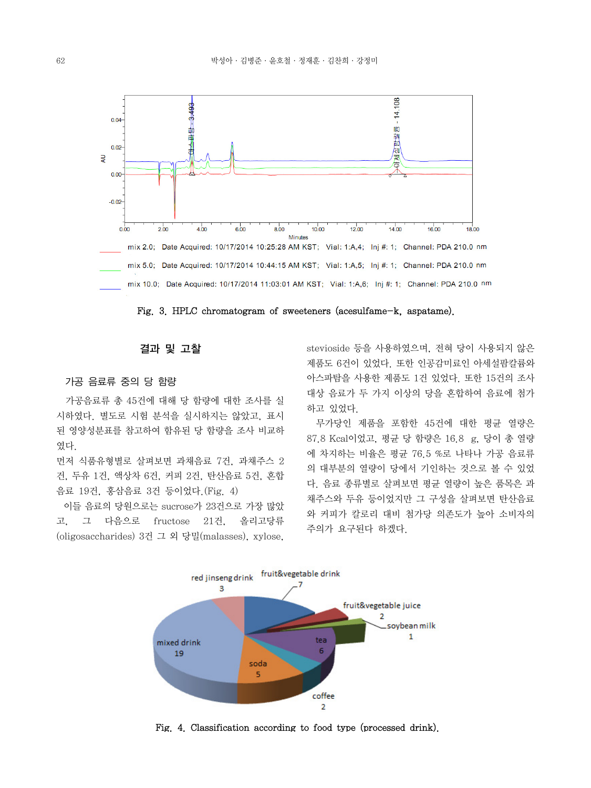

Fig. 3. HPLC chromatogram of sweeteners (acesulfame-k, aspatame).

## 결과 및 고찰

# 가공 음료류 중의 당 함량

 가공음료류 총 45건에 대해 당 함량에 대한 조사를 실 시하였다. 별도로 시험 분석을 실시하지는 않았고, 표시 된 영양성분표를 참고하여 함유된 당 함량을 조사 비교하 였다.

먼저 식품유형별로 살펴보면 과채음료 7건, 과채주스 2 건, 두유 1건, 액상차 6건, 커피 2건, 탄산음료 5건, 혼합 음료 19건, 홍삼음료 3건 등이었다.(Fig. 4)

 이들 음료의 당원으로는 sucrose가 23건으로 가장 많았 고, 그 다음으로 fructose 21건, 올리고당류 (oligosaccharides) 3건 그 외 당밀(malasses), xylose,

stevioside 등을 사용하였으며, 전혀 당이 사용되지 않은 제품도 6건이 있었다. 또한 인공감미료인 아세설팜칼륨와 아스파탐을 사용한 제품도 1건 있었다. 또한 15건의 조사 대상 음료가 두 가지 이상의 당을 혼합하여 음료에 첨가 하고 있었다.

 무가당인 제품을 포함한 45건에 대한 평균 열량은 87.8 Kcal이었고, 평균 당 함량은 16.8 g, 당이 총 열량 에 차지하는 비율은 평균 76.5 %로 나타나 가공 음료류 의 대부분의 열량이 당에서 기인하는 것으로 볼 수 있었 다. 음료 종류별로 살펴보면 평균 열량이 높은 품목은 과 채주스와 두유 등이었지만 그 구성을 살펴보면 탄산음료 와 커피가 칼로리 대비 첨가당 의존도가 높아 소비자의 주의가 요구된다 하겠다.



Fig. 4. Classification according to food type (processed drink).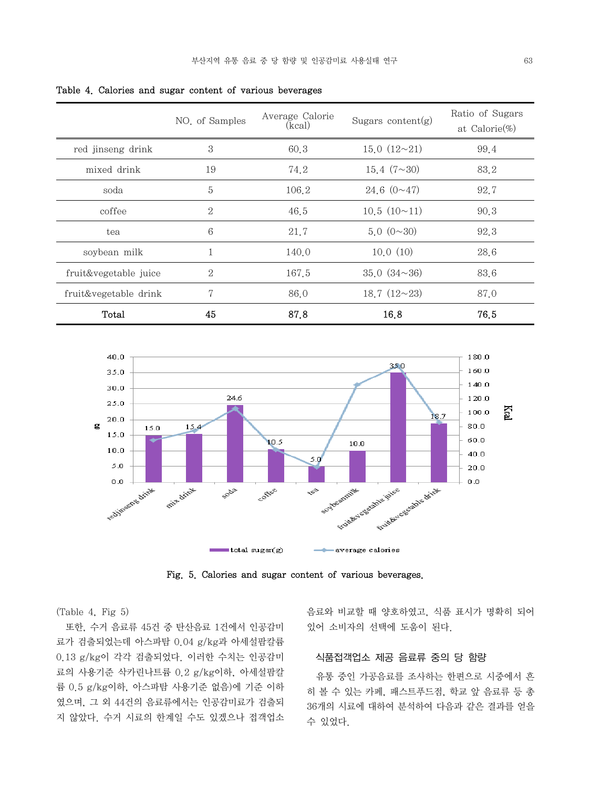|                       | NO. of Samples | Average Calorie<br>(kcal) | Sugars content $(g)$ | Ratio of Sugars<br>at Calorie $(\%)$ |
|-----------------------|----------------|---------------------------|----------------------|--------------------------------------|
| red jinseng drink     | 3              | 60.3                      | 15.0(12~21)          | 99.4                                 |
| mixed drink           | 19             | 74.2                      | 15.4 $(7 \sim 30)$   | 83.2                                 |
| soda                  | 5              | 106.2                     | 24.6~(0~17)          | 92.7                                 |
| coffee                | $\mathbf{2}$   | 46.5                      | 10.5(10~11)          | 90.3                                 |
| tea                   | 6              | 21.7                      | 5.0(0~30)            | 92.3                                 |
| soybean milk          | 1              | 140.0                     | 10.0(10)             | 28.6                                 |
| fruit&vegetable juice | $\overline{2}$ | 167.5                     | 35.0(34~36)          | 83.6                                 |
| fruit&vegetable drink | 7              | 86.0                      | 18.7 $(12~23)$       | 87.0                                 |
| Total                 | 45             | 87.8                      | 16.8                 | 76.5                                 |

Table 4. Calories and sugar content of various beverages



Fig. 5. Calories and sugar content of various beverages.

(Table 4, Fig 5)

 또한, 수거 음료류 45건 중 탄산음료 1건에서 인공감미 료가 검출되었는데 아스파탐 0.04 g/kg과 아세설팜칼륨 0.13 g/kg이 각각 검출되었다. 이러한 수치는 인공감미 료의 사용기준 삭카린나트륨 0.2 g/kg이하, 아세설팜칼 륨 0.5 g/kg이하, 아스파탐 사용기준 없음)에 기준 이하 였으며, 그 외 44건의 음료류에서는 인공감미료가 검출되 지 않았다. 수거 시료의 한계일 수도 있겠으나 접객업소 음료와 비교할 때 양호하였고, 식품 표시가 명확히 되어 있어 소비자의 선택에 도움이 된다.

# 식품접객업소 제공 음료류 중의 당 함량

 유통 중인 가공음료를 조사하는 한편으로 시중에서 흔 히 볼 수 있는 카페, 패스트푸드점, 학교 앞 음료류 등 총 36개의 시료에 대하여 분석하여 다음과 같은 결과를 얻을 수 있었다.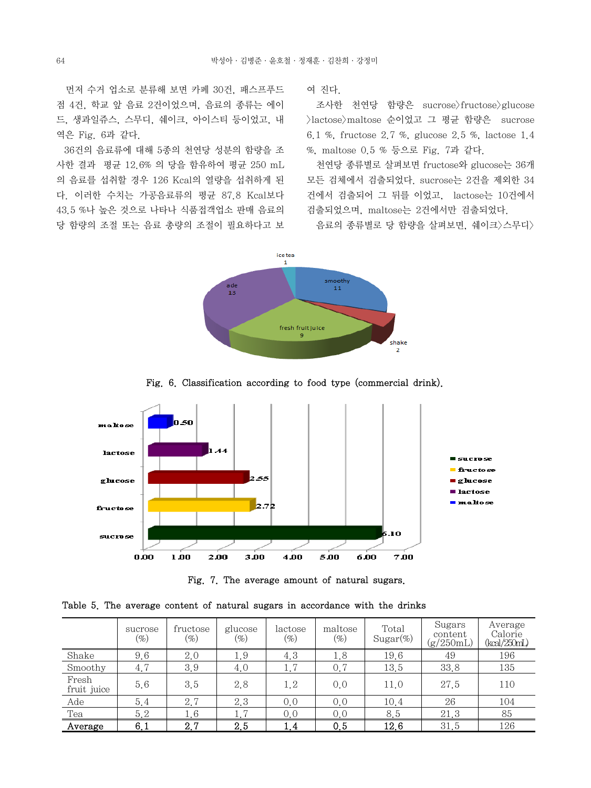먼저 수거 업소로 분류해 보면 카페 30건, 패스프푸드 점 4건, 학교 앞 음료 2건이었으며, 음료의 종류는 에이 드, 생과일쥬스, 스무디, 쉐이크, 아이스티 등이었고, 내 역은 Fig. 6과 같다.

 36건의 음료류에 대해 5종의 천연당 성분의 함량을 조 사한 결과 평균 12.6% 의 당을 함유하여 평균 250 mL 의 음료를 섭취할 경우 126 Kcal의 열량을 섭취하게 된 다. 이러한 수치는 가공음료류의 평균 87.8 Kcal보다 43.5 %나 높은 것으로 나타나 식품접객업소 판매 음료의 당 함량의 조절 또는 음료 총량의 조절이 필요하다고 보 여 진다.

조사한 천연당 함량은 sucrose>fructose>glucose >lactose>maltose 순이었고 그 평균 함량은 sucrose 6.1 %, fructose 2.7 %, glucose 2.5 %, lactose 1.4 %, maltose 0.5 % 등으로 Fig. 7과 같다.

 천연당 종류별로 살펴보면 fructose와 glucose는 36개 모든 검체에서 검출되었다. sucrose는 2건을 제외한 34 건에서 검출되어 그 뒤를 이었고, lactose는 10건에서 검출되었으며, maltose는 2건에서만 검출되었다.

음료의 종류별로 당 함량을 살펴보면, 쉐이크>스무디>



Fig. 6. Classification according to food type (commercial drink).



Fig. 7. The average amount of natural sugars.

|  |  |  |  | Table 5. The average content of natural sugars in accordance with the drinks |  |  |
|--|--|--|--|------------------------------------------------------------------------------|--|--|
|  |  |  |  |                                                                              |  |  |

|                      | sucrose<br>$(\%)$ | fructose<br>$(\% )$ | glucose<br>$\mathscr{G}_o$ | lactose<br>$\left( \% \right)$ | maltose<br>$(\%)$ | Total<br>$Sugar(\%)$ | Sugars<br>content<br>(g/250mL) | Average<br>Calorie<br>(kcal/250mL) |
|----------------------|-------------------|---------------------|----------------------------|--------------------------------|-------------------|----------------------|--------------------------------|------------------------------------|
| Shake                | 9.6               | 2.0                 | 1.9                        | 4.3                            | 1.8               | 19.6                 | 49                             | 196                                |
| Smoothy              | 4.7               | 3.9                 | 4.0                        | 1.7                            | 0,7               | 13.5                 | 33.8                           | 135                                |
| Fresh<br>fruit juice | 5.6               | 3.5                 | 2.8                        | 1.2                            | 0.0               | 11.0                 | 27.5                           | 110                                |
| Ade                  | 5.4               | 2.7                 | 2.3                        | 0.0                            | 0.0               | 10.4                 | 26                             | 104                                |
| Tea                  | 5.2               | 1.6                 | 1.7                        | 0,0                            | 0,0               | 8.5                  | 21.3                           | 85                                 |
| Average              | 6,1               | 2.7                 | 2.5                        | 1.4                            | 0.5               | 12.6                 | 31.5                           | 126                                |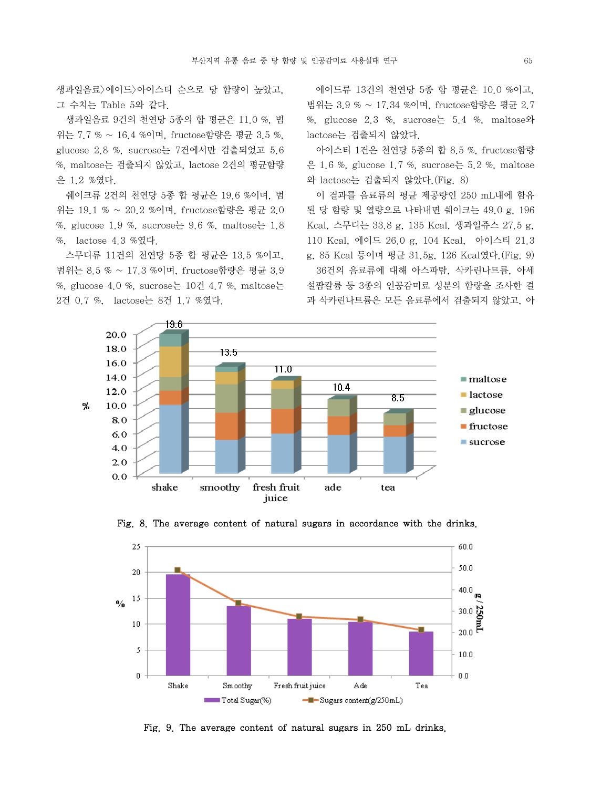생과일음료>에이드>아이스티 순으로 당 함량이 높았고, 그 수치는 Table 5와 같다.

 생과일음료 9건의 천연당 5종의 합 평균은 11.0 %, 범 위는 7.7 % ~ 16.4 %이며, fructose함량은 평균 3.5 %, glucose 2.8 %, sucrose는 7건에서만 검출되었고 5.6 %, maltose는 검출되지 않았고, lactose 2건의 평균함량 은 1.2 %였다.

 쉐이크류 2건의 천연당 5종 합 평균은 19.6 %이며, 범 위는 19.1 % ~ 20.2 %이며, fructose함량은 평균 2.0 %, glucose 1.9 %, sucrose  $\geq$  9.6 %, maltose  $\geq$  1.8 %, lactose 4.3 %였다.

 스무디류 11건의 천연당 5종 합 평균은 13.5 %이고, 범위는 8.5 % ~ 17.3 %이며, fructose함량은 평균 3.9 %, glucose 4.0 %, sucrose는 10건 4.7 %, maltose는 2건 0.7 %, lactose는 8건 1.7 %였다.

 에이드류 13건의 천연당 5종 합 평균은 10.0 %이고, 범위는 3.9 % ~ 17.34 %이며, fructose함량은 평균 2.7 %, glucose  $2.3$  %, sucrose  $\frac{1}{6}$  5.4 %, maltose  $\frac{1}{2}$ lactose는 검출되지 않았다.

 아이스티 1건은 천연당 5종의 합 8.5 %, fructose함량 은 1.6 %, glucose 1.7 %, sucrose  $\div$  5.2 %, maltose 와 lactose는 검출되지 않았다.(Fig. 8)

 이 결과를 음료류의 평균 제공량인 250 mL내에 함유 된 당 함량 및 열량으로 나타내면 쉐이크는 49.0 g, 196 Kcal, 스무디는 33.8 g, 135 Kcal, 생과일쥬스 27.5 g, 110 Kcal, 에이드 26.0 g, 104 Kcal, 아이스티 21.3 g, 85 Kcal 등이며 평균 31.5g, 126 Kcal였다.(Fig. 9) 36건의 음료류에 대해 아스파탐, 삭카린나트륨, 아세 설팜칼륨 등 3종의 인공감미료 성분의 함량을 조사한 결 과 삭카린나트륨은 모든 음료류에서 검출되지 않았고, 아





Fig. 8. The average content of natural sugars in accordance with the drinks.

Fig. 9. The average content of natural sugars in 250 mL drinks.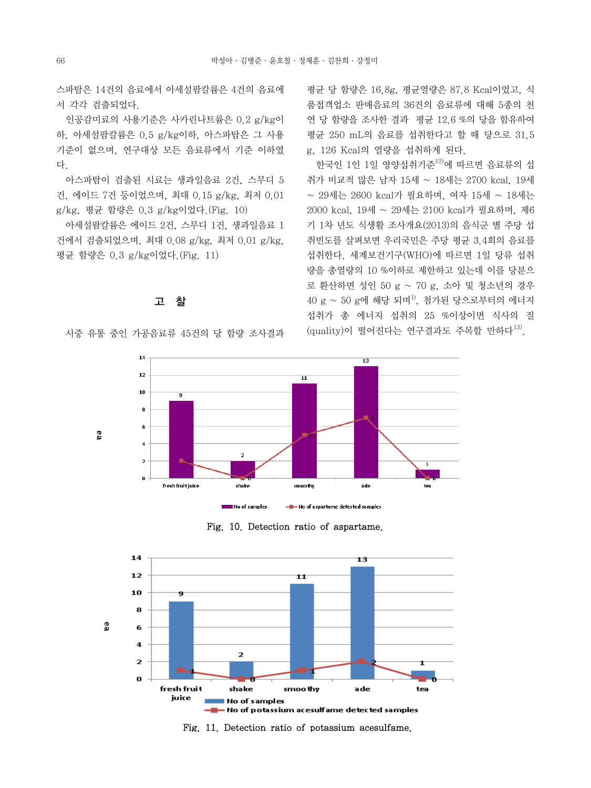스파탐은 14건의 음료에서 아세설팜칼륨은 4건의 음료에 서 각각 검출되었다.

 인공감미료의 사용기준은 사카린나트륨은 0.2 g/kg이 하, 아세설팜칼륨은 0.5 g/kg이하, 아스파탐은 그 사용 기준이 없으며, 연구대상 모든 음료류에서 기준 이하였 다.

 아스파탐이 검출된 시료는 생과일음료 2건, 스무디 5 건, 에이드 7건 등이었으며, 최대 0.15 g/kg, 최저 0.01 g/kg, 평균 함량은 0.3 g/kg이었다.(Fig. 10)

 아세설팜칼륨은 에이드 2건, 스무디 1건, 생과일음료 1 건에서 검출되었으며, 최대 0.08 g/kg, 최저 0.01 g/kg, 평균 함량은 0.3 g/kg이었다.(Fig. 11)

# 고 찰

시중 유통 중인 가공음료류 45건의 당 함량 조사결과

평균 당 함량은 16.8g, 평균열량은 87.8 Kcal이었고, 식 품접객업소 판매음료의 36건의 음료류에 대해 5종의 천 연 당 함량을 조사한 결과 평균 12.6 %의 당을 함유하여 평균 250 mL의 음료를 섭취한다고 할 때 당으로 31.5 g, 126 Kcal의 열량을 섭취하게 된다.

한국인 1인 1일 영양섭취기주<sup>12)</sup>에 따르면 음료류의 섭 취가 비교적 많은 남자 15세 ~ 18세는 2700 kcal, 19세 ~ 29세는 2600 kcal가 필요하며, 여자 15세 ~ 18세는 2000 kcal, 19세 ~ 29세는 2100 kcal가 필요하며, 제6 기 1차 년도 식생활 조사개요(2013)의 음식군 별 주당 섭 취빈도를 살펴보면 우리국민은 주당 평균 3.4회의 음료를 섭취한다. 세계보건기구(WHO)에 따르면 1일 당류 섭취 량을 총열량의 10 %이하로 제한하고 있는데 이를 당분으 로 환산하면 성인 50 g ~ 70 g, 소아 및 청소년의 경우  $40\text{ g} \sim 50\text{ g}$ 에 해당 되며 $^{1)}$ , 첨가된 당으로부터의 에너지 섭취가 총 에너지 섭취의 25 %이상이면 식사의 질 (quality)이 떨어진다는 연구결과도 주목할 만하다<sup>13)</sup>.



Fig. 10. Detection ratio of aspartame.



Fig. 11. Detection ratio of potassium acesulfame.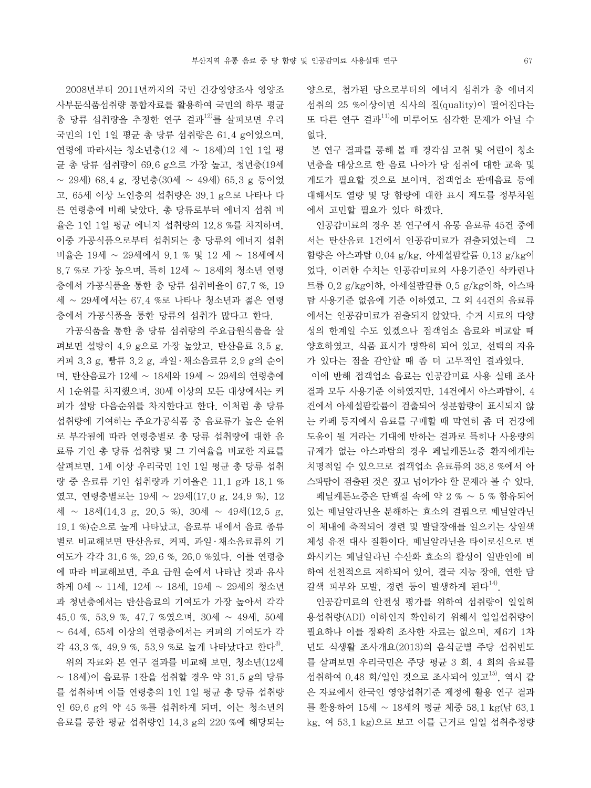2008년부터 2011년까지의 국민 건강영양조사 영양조 사부문식품섭취량 통합자료를 활용하여 국민의 하루 평균 총 당류 섭취량을 추정한 연구 결과<sup>12)</sup>를 살펴보면 우리 국민의 1인 1일 평균 총 당류 섭취량은 61.4 g이었으며, 연령에 따라서는 청소년층(12 세 ~ 18세)의 1인 1일 평 균 총 당류 섭취량이 69.6 g으로 가장 높고, 청년층(19세 ~ 29세) 68.4 g, 장년층(30세 ~ 49세) 65.3 g 등이었 고, 65세 이상 노인층의 섭취량은 39.1 g으로 나타나 다 른 연령층에 비해 낮았다. 총 당류로부터 에너지 섭취 비 율은 1인 1일 평균 에너지 섭취량의 12.8 %를 차지하며, 이중 가공식품으로부터 섭취되는 총 당류의 에너지 섭취 비율은 19세 ~ 29세에서 9.1 % 및 12 세 ~ 18세에서 8.7 %로 가장 높으며, 특히 12세 ~ 18세의 청소년 연령 층에서 가공식품을 통한 총 당류 섭취비율이 67.7 %, 19 세 ~ 29세에서는 67.4 %로 나타나 청소년과 젊은 연령 층에서 가공식품을 통한 당류의 섭취가 많다고 한다.

 가공식품을 통한 총 당류 섭취량의 주요급원식품을 살 펴보면 설탕이 4.9 g으로 가장 높았고, 탄산음료 3.5 g, 커피 3.3 g, 빵류 3.2 g, 과일 ․ 채소음료류 2.9 g의 순이 며, 탄산음료가 12세 ~ 18세와 19세 ~ 29세의 연령층에 서 1순위를 차지했으며, 30세 이상의 모든 대상에서는 커 피가 설탕 다음순위를 차지한다고 한다. 이처럼 총 당류 섭취량에 기여하는 주요가공식품 중 음료류가 높은 순위 로 부각됨에 따라 연령층별로 총 당류 섭취량에 대한 음 료류 기인 총 당류 섭취량 및 그 기여율을 비교한 자료를 살펴보면, 1세 이상 우리국민 1인 1일 평균 총 당류 섭취 량 중 음료류 기인 섭취량과 기여율은 11.1 g과 18.1 % 였고, 연령층별로는 19세 ~ 29세(17.0 g, 24.9 %), 12 세 ~ 18세(14.3 g, 20.5 %), 30세 ~ 49세(12.5 g, 19.1 %)순으로 높게 나타났고, 음료류 내에서 음료 종류 별로 비교해보면 탄산음료, 커피, 과일 ․ 채소음료류의 기 여도가 각각 31.6 %, 29.6 %, 26.0 %였다. 이를 연령층 에 따라 비교해보면, 주요 급원 순에서 나타난 것과 유사 하게 0세 ~ 11세, 12세 ~ 18세, 19세 ~ 29세의 청소년 과 청년층에서는 탄산음료의 기여도가 가장 높아서 각각 45.0 %, 53.9 %, 47.7 %였으며, 30세 ~ 49세, 50세 ~ 64세, 65세 이상의 연령층에서는 커피의 기여도가 각 각 43.3 %, 49.9 %, 53.9 %로 높게 나타났다고 한다<sup>3</sup>. 위의 자료와 본 연구 결과를 비교해 보면, 청소년(12세 ~ 18세)이 음료류 1잔을 섭취할 경우 약 31.5 g의 당류

를 섭취하며 이들 연령층의 1인 1일 평균 총 당류 섭취량 인 69.6 g의 약 45 %를 섭취하게 되며, 이는 청소년의 음료를 통한 평균 섭취량인 14.3 g의 220 %에 해당되는 양으로, 첨가된 당으로부터의 에너지 섭취가 총 에너지 섭취의 25 %이상이면 식사의 질(quality)이 떨어진다는 또 다른 연구 결과11)에 미루어도 심각한 문제가 아닐 수 없다.

 본 연구 결과를 통해 볼 때 경각심 고취 및 어린이 청소 년층을 대상으로 한 음료 나아가 당 섭취에 대한 교육 및 계도가 필요할 것으로 보이며, 접객업소 판매음료 등에 대해서도 열량 및 당 함량에 대한 표시 제도를 정부차원 에서 고민할 필요가 있다 하겠다.

 인공감미료의 경우 본 연구에서 유통 음료류 45건 중에 서는 탄산음료 1건에서 인공감미료가 검출되었는데 그 함량은 아스파탐 0.04 g/kg, 아세설팜칼륨 0.13 g/kg이 었다. 이러한 수치는 인공감미료의 사용기준인 삭카린나 트륨 0.2 g/kg이하, 아세설팜칼륨 0.5 g/kg이하, 아스파 탐 사용기준 없음에 기준 이하였고, 그 외 44건의 음료류 에서는 인공감미료가 검출되지 않았다. 수거 시료의 다양 성의 한계일 수도 있겠으나 접객업소 음료와 비교할 때 양호하였고, 식품 표시가 명확히 되어 있고, 선택의 자유 가 있다는 점을 감안할 때 좀 더 고무적인 결과였다.

 이에 반해 접객업소 음료는 인공감미료 사용 실태 조사 결과 모두 사용기준 이하였지만, 14건에서 아스파탐이, 4 건에서 아세설팜칼륨이 검출되어 성분함량이 표시되지 않 는 카페 등지에서 음료를 구매할 때 막연히 좀 더 건강에 도움이 될 거라는 기대에 반하는 결과로 특히나 사용량의 규제가 없는 아스파탐의 경우 페닐케톤뇨증 환자에게는 치명적일 수 있으므로 접객업소 음료류의 38.8 %에서 아 스파탐이 검출된 것은 짚고 넘어가야 할 문제라 볼 수 있다. 페닐케톤뇨증은 단백질 속에 약 2 % ∼ 5 % 함유되어

있는 페닐알라닌을 분해하는 효소의 결핍으로 페닐알라닌 이 체내에 축적되어 경련 및 발달장애를 일으키는 상염색 체성 유전 대사 질환이다. 페닐알라닌을 타이로신으로 변 화시키는 페닐알라닌 수산화 효소의 활성이 일반인에 비 하여 선천적으로 저하되어 있어, 결국 지능 장애, 연한 담 갈색 피부와 모발, 경련 등이 발생하게 된다 $^{14}$ .

 인공감미료의 안전성 평가를 위하여 섭취량이 일일허 용섭취량(ADI) 이하인지 확인하기 위해서 일일섭취량이 필요하나 이를 정확히 조사한 자료는 없으며, 제6기 1차 년도 식생활 조사개요(2013)의 음식군별 주당 섭취빈도 를 살펴보면 우리국민은 주당 평균 3 회, 4 회의 음료를 섭취하여 0.48 회/일인 것으로 조사되어 있고15), 역시 같 은 자료에서 한국인 영양섭취기준 제정에 활용 연구 결과 를 활용하여 15세 ~ 18세의 평균 체중 58.1 kg(남 63.1 kg, 여 53.1 kg)으로 보고 이를 근거로 일일 섭취추정량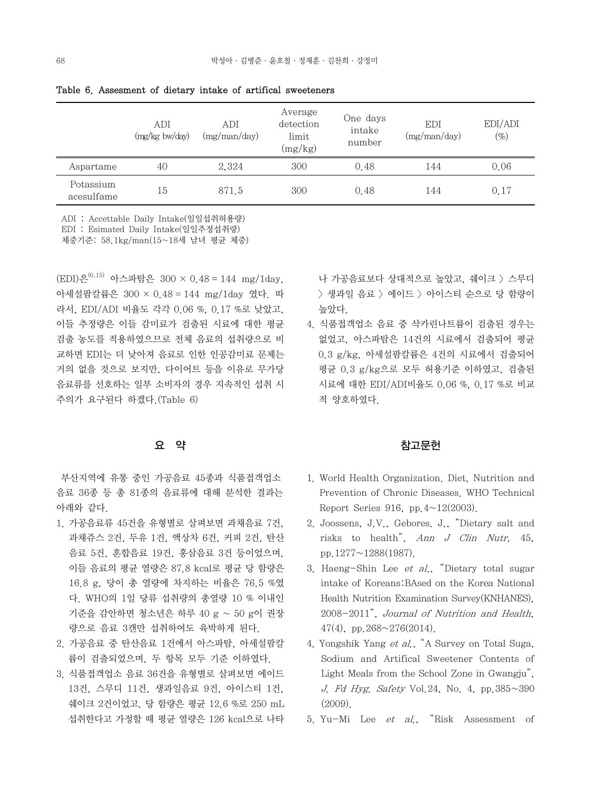|                         | ADI<br>$(mg/kg)$ bw/day) | <b>ADI</b><br>(mg/man/day) | Average<br>detection<br>limit<br>(mg/kg) | One days<br>intake<br>number | <b>EDI</b><br>(mg/man/day) | EDI/ADI<br>$(\%)$ |
|-------------------------|--------------------------|----------------------------|------------------------------------------|------------------------------|----------------------------|-------------------|
| Aspartame               | 40                       | 2,324                      | 300                                      | 0.48                         | 144                        | 0.06              |
| Potassium<br>acesulfame | 15                       | 871.5                      | 300                                      | 0.48                         | 144                        | 0.17              |

Table 6. Assesment of dietary intake of artifical sweeteners

ADI : Accettable Daily Intake(일일섭취허용량)

EDI : Esimated Daily Intake(일일추정섭취량)

체중기준: 58.1kg/man(15~18세 남녀 평균 체중)

 $(EDI)$ 은<sup>9),15)</sup> 아스파탐은 300 × 0.48 = 144 mg/1day, 아세설팜칼륨은 300 × 0.48 = 144 mg/1day 였다. 따 라서, EDI/ADI 비율도 각각 0.06 %, 0.17 %로 낮았고, 이들 추정량은 이들 감미료가 검출된 시료에 대한 평균 검출 농도를 적용하였으므로 전체 음료의 섭취량으로 비 교하면 EDI는 더 낮아져 음료로 인한 인공감미료 문제는 거의 없을 것으로 보지만, 다이어트 등을 이유로 무가당 음료류를 선호하는 일부 소비자의 경우 지속적인 섭취 시 주의가 요구된다 하겠다.(Table 6)

# 요 약

 부산지역에 유통 중인 가공음료 45종과 식품접객업소 음료 36종 등 총 81종의 음료류에 대해 분석한 결과는 아래와 같다.

- 1. 가공음료류 45건을 유형별로 살펴보면 과채음료 7건, 과채쥬스 2건, 두유 1건, 액상차 6건, 커피 2건, 탄산 음료 5건, 혼합음료 19건, 홍삼음료 3건 등이었으며, 이들 음료의 평균 열량은 87.8 kcal로 평균 당 함량은 16.8 g, 당이 총 열량에 차지하는 비율은 76.5 %였 다. WHO의 1일 당류 섭취량의 총열량 10 % 이내인 기준을 감안하면 청소년은 하루 40 g ~ 50 g이 권장 량으로 음료 3캔만 섭취하여도 육박하게 된다.
- 2. 가공음료 중 탄산음료 1건에서 아스파탐, 아세설팜칼 륨이 검출되었으며, 두 항목 모두 기준 이하였다.
- 3. 식품접객업소 음료 36건을 유형별로 살펴보면 에이드 13건, 스무디 11건, 생과일음료 9건, 아이스티 1건, 쉐이크 2건이었고, 당 함량은 평균 12.6 %로 250 mL 섭취한다고 가정할 때 평균 열량은 126 kcal으로 나타

나 가공음료보다 상대적으로 높았고, 쉐이크 > 스무디 > 생과일 음료 > 에이드 > 아이스티 순으로 당 함량이 높았다.

4. 식품접객업소 음료 중 삭카린나트륨이 검출된 경우는 없었고, 아스파탐은 14건의 시료에서 검출되어 평균 0.3 g/kg, 아세설팜칼륨은 4건의 시료에서 검출되어 평균 0.3 g/kg으로 모두 허용기준 이하였고, 검출된 시료에 대한 EDI/ADI비율도 0.06 %, 0.17 %로 비교 적 양호하였다.

### 참고문헌

- 1. World Health Organization. Diet, Nutrition and Prevention of Chronic Diseases. WHO Technical Report Series 916, pp. $4 \sim 12(2003)$ .
- 2. Joossens, J.V., Gebores. J., "Dietary salt and risks to health", Ann J Clin Nutr, 45, pp.1277~1288(1987).
- 3. Haeng-Shin Lee et al., "Dietary total sugar intake of Koreans:BAsed on the Korea National Health Nutrition Examination Survey(KNHANES), 2008-2011", Journal of Nutrition and Health, 47(4), pp.  $268 \sim 276(2014)$ .
- 4. Yongshik Yang et al., "A Survey on Total Suga, Sodium and Artifical Sweetener Contents of Light Meals from the School Zone in Gwangju", J. Fd Hyg. Safety Vol. 24, No. 4, pp.  $385 \sim 390$ (2009).
- 5. Yu-Mi Lee et al., "Risk Assessment of